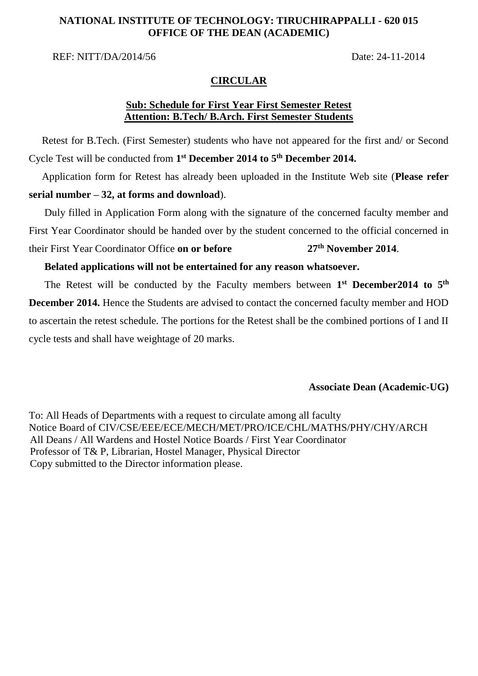### **NATIONAL INSTITUTE OF TECHNOLOGY: TIRUCHIRAPPALLI - 620 015 OFFICE OF THE DEAN (ACADEMIC)**

REF: NITT/DA/2014/56 Date: 24-11-2014

#### **CIRCULAR**

### **Sub: Schedule for First Year First Semester Retest Attention: B.Tech/ B.Arch. First Semester Students**

 Retest for B.Tech. (First Semester) students who have not appeared for the first and/ or Second Cycle Test will be conducted from **1 st December 2014 to 5 th December 2014.**

 Application form for Retest has already been uploaded in the Institute Web site (**Please refer serial number – 32, at forms and download**).

 Duly filled in Application Form along with the signature of the concerned faculty member and First Year Coordinator should be handed over by the student concerned to the official concerned in their First Year Coordinator Office **on or before 27th November 2014**.

#### **Belated applications will not be entertained for any reason whatsoever.**

The Retest will be conducted by the Faculty members between 1<sup>st</sup> December2014 to 5<sup>th</sup> **December 2014.** Hence the Students are advised to contact the concerned faculty member and HOD to ascertain the retest schedule*.* The portions for the Retest shall be the combined portions of I and II cycle tests and shall have weightage of 20 marks.

#### **Associate Dean (Academic-UG)**

To: All Heads of Departments with a request to circulate among all faculty Notice Board of CIV/CSE/EEE/ECE/MECH/MET/PRO/ICE/CHL/MATHS/PHY/CHY/ARCH All Deans / All Wardens and Hostel Notice Boards / First Year Coordinator Professor of T& P, Librarian, Hostel Manager, Physical Director Copy submitted to the Director information please.